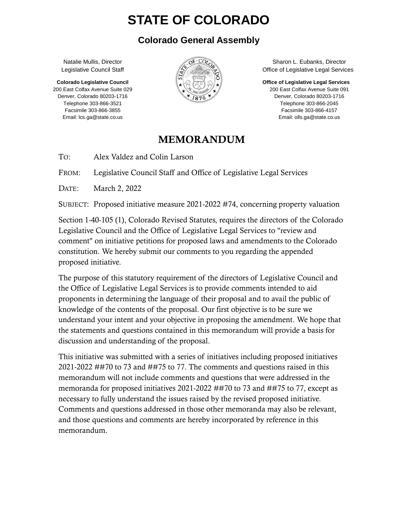# **STATE OF COLORADO**

#### **Colorado General Assembly**

Natalie Mullis, Director Legislative Council Staff

**Colorado Legislative Council** 200 East Colfax Avenue Suite 029 Denver, Colorado 80203-1716 Telephone 303-866-3521 Facsimile 303-866-3855 Email: lcs.ga@state.co.us



Sharon L. Eubanks, Director Office of Legislative Legal Services

**Office of Legislative Legal Services**

200 East Colfax Avenue Suite 091 Denver, Colorado 80203-1716 Telephone 303-866-2045 Facsimile 303-866-4157 Email: olls.ga@state.co.us

#### MEMORANDUM

TO: Alex Valdez and Colin Larson

FROM: Legislative Council Staff and Office of Legislative Legal Services

DATE: March 2, 2022

SUBJECT: Proposed initiative measure 2021-2022 #74, concerning property valuation

Section 1-40-105 (1), Colorado Revised Statutes, requires the directors of the Colorado Legislative Council and the Office of Legislative Legal Services to "review and comment" on initiative petitions for proposed laws and amendments to the Colorado constitution. We hereby submit our comments to you regarding the appended proposed initiative.

The purpose of this statutory requirement of the directors of Legislative Council and the Office of Legislative Legal Services is to provide comments intended to aid proponents in determining the language of their proposal and to avail the public of knowledge of the contents of the proposal. Our first objective is to be sure we understand your intent and your objective in proposing the amendment. We hope that the statements and questions contained in this memorandum will provide a basis for discussion and understanding of the proposal.

This initiative was submitted with a series of initiatives including proposed initiatives 2021-2022 ##70 to 73 and ##75 to 77. The comments and questions raised in this memorandum will not include comments and questions that were addressed in the memoranda for proposed initiatives 2021-2022 ##70 to 73 and ##75 to 77, except as necessary to fully understand the issues raised by the revised proposed initiative. Comments and questions addressed in those other memoranda may also be relevant, and those questions and comments are hereby incorporated by reference in this memorandum.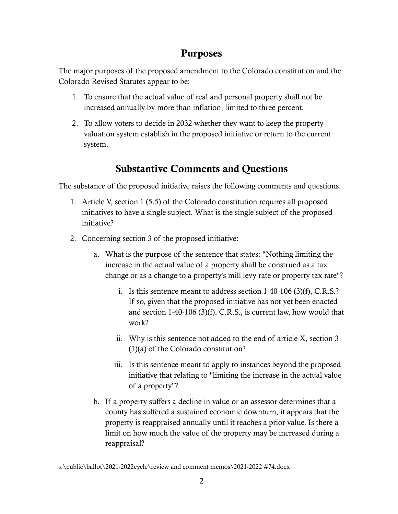## Purposes

The major purposes of the proposed amendment to the Colorado constitution and the Colorado Revised Statutes appear to be:

- 1. To ensure that the actual value of real and personal property shall not be increased annually by more than inflation, limited to three percent.
- 2. To allow voters to decide in 2032 whether they want to keep the property valuation system establish in the proposed initiative or return to the current system.

# Substantive Comments and Questions

The substance of the proposed initiative raises the following comments and questions:

- 1. Article V, section 1 (5.5) of the Colorado constitution requires all proposed initiatives to have a single subject. What is the single subject of the proposed initiative?
- 2. Concerning section 3 of the proposed initiative:
	- a. What is the purpose of the sentence that states: "Nothing limiting the increase in the actual value of a property shall be construed as a tax change or as a change to a property's mill levy rate or property tax rate"?
		- i. Is this sentence meant to address section 1-40-106 (3)(f), C.R.S.? If so, given that the proposed initiative has not yet been enacted and section 1-40-106 (3)(f), C.R.S., is current law, how would that work?
		- ii. Why is this sentence not added to the end of article X, section 3 (1)(a) of the Colorado constitution?
		- iii. Is this sentence meant to apply to instances beyond the proposed initiative that relating to "limiting the increase in the actual value of a property"?
	- b. If a property suffers a decline in value or an assessor determines that a county has suffered a sustained economic downturn, it appears that the property is reappraised annually until it reaches a prior value. Is there a limit on how much the value of the property may be increased during a reappraisal?

s:\public\ballot\2021-2022cycle\review and comment memos\2021-2022 #74.docx